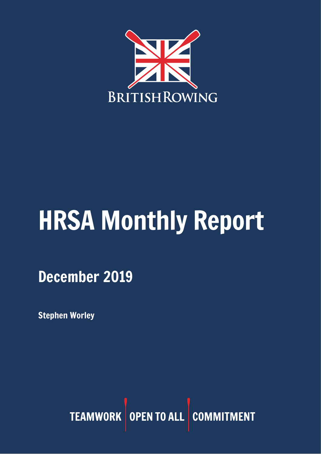

# HRSA Monthly Report

December 2019

Stephen Worley

TEAMWORK OPEN TO ALL COMMITMENT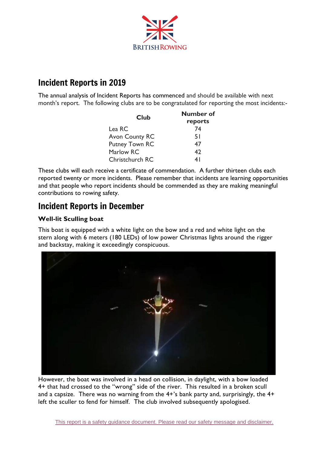

# Incident Reports in 2019

The annual analysis of Incident Reports has commenced and should be available with next month's report. The following clubs are to be congratulated for reporting the most incidents:-

| Club                  | Number of<br>reports |
|-----------------------|----------------------|
|                       |                      |
| <b>Avon County RC</b> | 51                   |
| <b>Putney Town RC</b> | 47                   |
| Marlow RC             | 42                   |
| Christchurch RC       | 4 I                  |

These clubs will each receive a certificate of commendation. A further thirteen clubs each reported twenty or more incidents. Please remember that incidents are learning opportunities and that people who report incidents should be commended as they are making meaningful contributions to rowing safety.

## Incident Reports in December

## **Well-lit Sculling boat**

This boat is equipped with a white light on the bow and a red and white light on the stern along with 6 meters (180 LEDs) of low power Christmas lights around the rigger and backstay, making it exceedingly conspicuous.



However, the boat was involved in a head on collision, in daylight, with a bow loaded 4+ that had crossed to the "wrong" side of the river. This resulted in a broken scull and a capsize. There was no warning from the 4+'s bank party and, surprisingly, the 4+ left the sculler to fend for himself. The club involved subsequently apologised.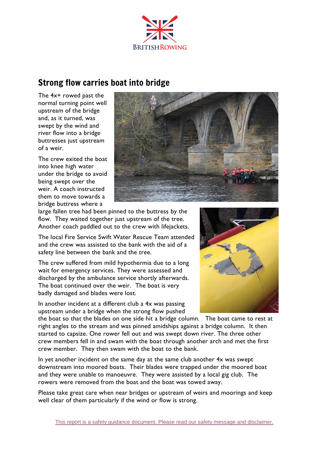

# Strong flow carries boat into bridge

The 4x+ rowed past the normal turning point well upstream of the bridge and, as it turned, was swept by the wind and river flow into a bridge buttresses just upstream of a weir.

The crew exited the boat into knee high water under the bridge to avoid being swept over the weir. A coach instructed them to move towards a bridge buttress where a



large fallen tree had been pinned to the buttress by the flow. They waited together just upstream of the tree. Another coach paddled out to the crew with lifejackets.

The local Fire Service Swift Water Rescue Team attended and the crew was assisted to the bank with the aid of a safety line between the bank and the tree.

The crew suffered from mild hypothermia due to a long wait for emergency services. They were assessed and discharged by the ambulance service shortly afterwards. The boat continued over the weir. The boat is very badly damaged and blades were lost.

In another incident at a different club a 4x was passing upstream under a bridge when the strong flow pushed



the boat so that the blades on one side hit a bridge column. The boat came to rest at right angles to the stream and was pinned amidships against a bridge column. It then started to capsize. One rower fell out and was swept down river. The three other crew members fell in and swam with the boat through another arch and met the first crew member. They then swam with the boat to the bank.

In yet another incident on the same day at the same club another 4x was swept downstream into moored boats. Their blades were trapped under the moored boat and they were unable to manoeuvre. They were assisted by a local gig club. The rowers were removed from the boat and the boat was towed away.

Please take great care when near bridges or upstream of weirs and moorings and keep well clear of them particularly if the wind or flow is strong.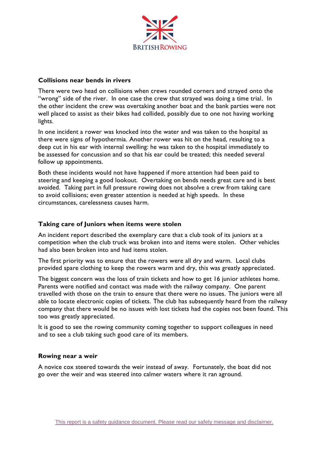

#### **Collisions near bends in rivers**

There were two head on collisions when crews rounded corners and strayed onto the "wrong" side of the river. In one case the crew that strayed was doing a time trial. In the other incident the crew was overtaking another boat and the bank parties were not well placed to assist as their bikes had collided, possibly due to one not having working lights.

In one incident a rower was knocked into the water and was taken to the hospital as there were signs of hypothermia. Another rower was hit on the head, resulting to a deep cut in his ear with internal swelling: he was taken to the hospital immediately to be assessed for concussion and so that his ear could be treated; this needed several follow up appointments.

Both these incidents would not have happened if more attention had been paid to steering and keeping a good lookout. Overtaking on bends needs great care and is best avoided. Taking part in full pressure rowing does not absolve a crew from taking care to avoid collisions; even greater attention is needed at high speeds. In these circumstances, carelessness causes harm.

## **Taking care of Juniors when items were stolen**

An incident report described the exemplary care that a club took of its juniors at a competition when the club truck was broken into and items were stolen. Other vehicles had also been broken into and had items stolen.

The first priority was to ensure that the rowers were all dry and warm. Local clubs provided spare clothing to keep the rowers warm and dry, this was greatly appreciated.

The biggest concern was the loss of train tickets and how to get 16 junior athletes home. Parents were notified and contact was made with the railway company. One parent travelled with those on the train to ensure that there were no issues. The juniors were all able to locate electronic copies of tickets. The club has subsequently heard from the railway company that there would be no issues with lost tickets had the copies not been found. This too was greatly appreciated.

It is good to see the rowing community coming together to support colleagues in need and to see a club taking such good care of its members.

## **Rowing near a weir**

A novice cox steered towards the weir instead of away. Fortunately, the boat did not go over the weir and was steered into calmer waters where it ran aground.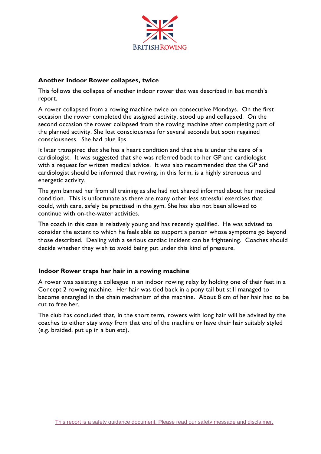

#### **Another Indoor Rower collapses, twice**

This follows the collapse of another indoor rower that was described in last month's report.

A rower collapsed from a rowing machine twice on consecutive Mondays. On the first occasion the rower completed the assigned activity, stood up and collapsed. On the second occasion the rower collapsed from the rowing machine after completing part of the planned activity. She lost consciousness for several seconds but soon regained consciousness. She had blue lips.

It later transpired that she has a heart condition and that she is under the care of a cardiologist. It was suggested that she was referred back to her GP and cardiologist with a request for written medical advice. It was also recommended that the GP and cardiologist should be informed that rowing, in this form, is a highly strenuous and energetic activity.

The gym banned her from all training as she had not shared informed about her medical condition. This is unfortunate as there are many other less stressful exercises that could, with care, safely be practised in the gym. She has also not been allowed to continue with on-the-water activities.

The coach in this case is relatively young and has recently qualified. He was advised to consider the extent to which he feels able to support a person whose symptoms go beyond those described. Dealing with a serious cardiac incident can be frightening. Coaches should decide whether they wish to avoid being put under this kind of pressure.

## **Indoor Rower traps her hair in a rowing machine**

A rower was assisting a colleague in an indoor rowing relay by holding one of their feet in a Concept 2 rowing machine. Her hair was tied back in a pony tail but still managed to become entangled in the chain mechanism of the machine. About 8 cm of her hair had to be cut to free her.

The club has concluded that, in the short term, rowers with long hair will be advised by the coaches to either stay away from that end of the machine or have their hair suitably styled (e.g. braided, put up in a bun etc).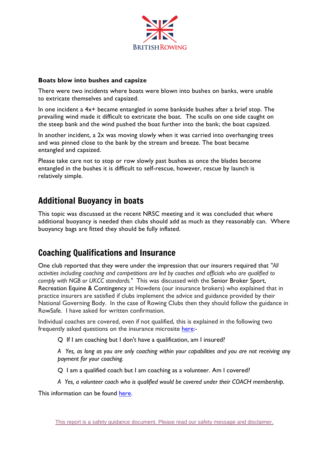

## **Boats blow into bushes and capsize**

There were two incidents where boats were blown into bushes on banks, were unable to extricate themselves and capsized.

In one incident a 4x+ became entangled in some bankside bushes after a brief stop. The prevailing wind made it difficult to extricate the boat. The sculls on one side caught on the steep bank and the wind pushed the boat further into the bank; the boat capsized.

In another incident, a 2x was moving slowly when it was carried into overhanging trees and was pinned close to the bank by the stream and breeze. The boat became entangled and capsized.

Please take care not to stop or row slowly past bushes as once the blades become entangled in the bushes it is difficult to self-rescue, however, rescue by launch is relatively simple.

## Additional Buoyancy in boats

This topic was discussed at the recent NRSC meeting and it was concluded that where additional buoyancy is needed then clubs should add as much as they reasonably can. Where buoyancy bags are fitted they should be fully inflated.

## Coaching Qualifications and Insurance

One club reported that they were under the impression that our insurers required that *"All activities including coaching and competitions are led by coaches and officials who are qualified to comply with NGB or UKCC standards."* This was discussed with the Senior Broker Sport, Recreation Equine & Contingency at Howdens (our insurance brokers) who explained that in practice insurers are satisfied if clubs implement the advice and guidance provided by their National Governing Body. In the case of Rowing Clubs then they should follow the guidance in RowSafe. I have asked for written confirmation.

Individual coaches are covered, even if not qualified, this is explained in the following two frequently asked questions on the insurance microsite [here:](https://www.britishrowing.org/knowledge/british-rowing-clubhub/club-governance/insurance/)-

Q If I am coaching but I don't have a qualification, am I insured?

*A Yes, as long as you are only coaching within your capabilities and you are not receiving any payment for your coaching.*

Q I am a qualified coach but I am coaching as a volunteer. Am I covered?

*A Yes, a volunteer coach who is qualified would be covered under their COACH membership.*

This information can be found [here.](http://british-rowing-insurance.co.uk/faqs-coaches#FAQ_11)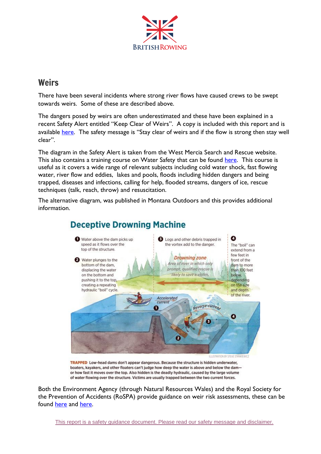

## **Weirs**

There have been several incidents where strong river flows have caused crews to be swept towards weirs. Some of these are described above.

The dangers posed by weirs are often underestimated and these have been explained in a recent Safety Alert entitled "Keep Clear of Weirs". A copy is included with this report and is available [here.](https://www.britishrowing.org/wp-content/uploads/2019/12/Safety-Alert-Keep-clear-of-Weirs-Dec-2019.pdf) The safety message is "Stay clear of weirs and if the flow is strong then stay well clear".

The diagram in the Safety Alert is taken from the West Mercia Search and Rescue website. This also contains a training course on Water Safety that can be found [here.](https://westmerciasar.org.uk/homeanddry/free-water-safety-online-course/) This course is useful as it covers a wide range of relevant subjects including cold water shock, fast flowing water, river flow and eddies, lakes and pools, floods including hidden dangers and being trapped, diseases and infections, calling for help, flooded streams, dangers of ice, rescue techniques (talk, reach, throw) and resuscitation.

The alternative diagram, was published in Montana Outdoors and this provides additional information.



TRAPPED Low-head dams don't appear dangerous. Because the structure is hidden underwater, boaters, kayakers, and other floaters can't judge how deep the water is above and below the damor how fast it moves over the top. Also hidden is the deadly hydraulic, caused by the large volume

of water flowing over the structure. Victims are usually trapped between the two current forces.

Both the Environment Agency (through Natural Resources Wales) and the Royal Society for the Prevention of Accidents (RoSPA) provide guidance on weir risk assessments, these can be found [here](https://www.rescue3europe.com/downloads/weir/Weir%20Risk%20Assessment%20-%20English%20v3.2.pdf) and [here.](https://www.rospa.com/rospaweb/docs/advice-services/leisure-safety/wier-assessment.pdf)

This report is a safety guidance document. Please read our safety message and [disclaimer.](#page-11-0)

# **Deceptive Drowning Machine**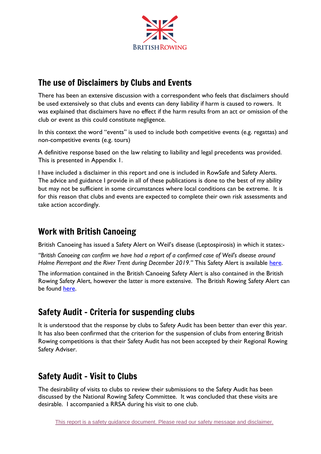

# The use of Disclaimers by Clubs and Events

There has been an extensive discussion with a correspondent who feels that disclaimers should be used extensively so that clubs and events can deny liability if harm is caused to rowers. It was explained that disclaimers have no effect if the harm results from an act or omission of the club or event as this could constitute negligence.

In this context the word "events" is used to include both competitive events (e.g. regattas) and non-competitive events (e.g. tours)

A definitive response based on the law relating to liability and legal precedents was provided. This is presented in Appendix 1.

I have included a disclaimer in this report and one is included in RowSafe and Safety Alerts. The advice and guidance I provide in all of these publications is done to the best of my ability but may not be sufficient in some circumstances where local conditions can be extreme. It is for this reason that clubs and events are expected to complete their own risk assessments and take action accordingly.

# Work with British Canoeing

British Canoeing has issued a Safety Alert on Weil's disease (Leptospirosis) in which it states:-

*"British Canoeing can confirm we have had a report of a confirmed case of Weil's disease around Holme Pierrepont and the River Trent during December 2019."* This Safety Alert is available [here.](https://www.britishcanoeing.org.uk/news/2019/safety-alert-weils-disease)

The information contained in the British Canoeing Safety Alert is also contained in the British Rowing Safety Alert, however the latter is more extensive. The British Rowing Safety Alert can be found [here.](https://www.britishrowing.org/wp-content/uploads/2018/11/Safety-Alert-Weils-disease.pdf)

# Safety Audit - Criteria for suspending clubs

It is understood that the response by clubs to Safety Audit has been better than ever this year. It has also been confirmed that the criterion for the suspension of clubs from entering British Rowing competitions is that their Safety Audit has not been accepted by their Regional Rowing Safety Adviser.

# Safety Audit – Visit to Clubs

The desirability of visits to clubs to review their submissions to the Safety Audit has been discussed by the National Rowing Safety Committee. It was concluded that these visits are desirable. I accompanied a RRSA during his visit to one club.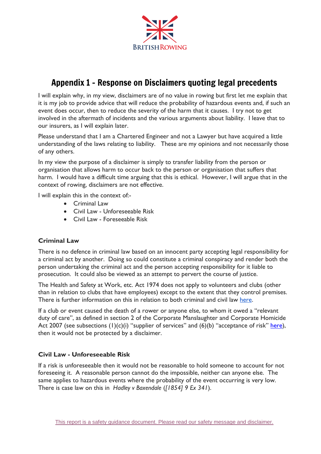

# Appendix 1 – Response on Disclaimers quoting legal precedents

I will explain why, in my view, disclaimers are of no value in rowing but first let me explain that it is my job to provide advice that will reduce the probability of hazardous events and, if such an event does occur, then to reduce the severity of the harm that it causes. I try not to get involved in the aftermath of incidents and the various arguments about liability. I leave that to our insurers, as I will explain later.

Please understand that I am a Chartered Engineer and not a Lawyer but have acquired a little understanding of the laws relating to liability. These are my opinions and not necessarily those of any others.

In my view the purpose of a disclaimer is simply to transfer liability from the person or organisation that allows harm to occur back to the person or organisation that suffers that harm. I would have a difficult time arguing that this is ethical. However, I will argue that in the context of rowing, disclaimers are not effective.

I will explain this in the context of:-

- Criminal Law
- Civil Law Unforeseeable Risk
- Civil Law Foreseeable Risk

## **Criminal Law**

There is no defence in criminal law based on an innocent party accepting legal responsibility for a criminal act by another. Doing so could constitute a criminal conspiracy and render both the person undertaking the criminal act and the person accepting responsibility for it liable to prosecution. It could also be viewed as an attempt to pervert the course of justice.

The Health and Safety at Work, etc. Act 1974 does not apply to volunteers and clubs (other than in relation to clubs that have employees) except to the extent that they control premises. There is further information on this in relation to both criminal and civil law [here.](https://www.hse.gov.uk/voluntary/when-it-applies.htm)

If a club or event caused the death of a rower or anyone else, to whom it owed a "relevant duty of care", as defined in section 2 of the Corporate Manslaughter and Corporate Homicide Act 2007 (see subsections  $(1)(c)(i)$  "supplier of services" and  $(6)(b)$  "acceptance of risk" [here\)](http://www.legislation.gov.uk/ukpga/2007/19/section/2), then it would not be protected by a disclaimer.

## **Civil Law - Unforeseeable Risk**

If a risk is unforeseeable then it would not be reasonable to hold someone to account for not foreseeing it. A reasonable person cannot do the impossible, neither can anyone else. The same applies to hazardous events where the probability of the event occurring is very low. There is case law on this in *Hadley v Baxendale* (*[1854] 9 Ex 341*).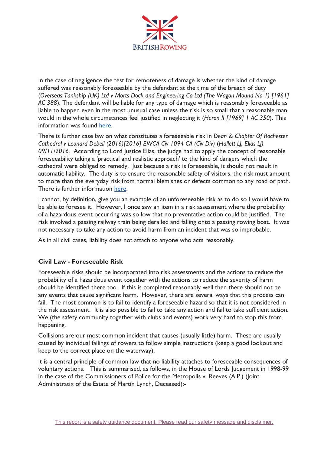

In the case of negligence the test for remoteness of damage is whether the kind of damage suffered was reasonably foreseeable by the defendant at the time of the breach of duty (*Overseas Tankship (UK) Ltd v Morts Dock and Engineering Co Ltd (The Wagon Mound No 1) [1961] AC 388*). The defendant will be liable for any type of damage which is reasonably foreseeable as liable to happen even in the most unusual case unless the risk is so small that a reasonable man would in the whole circumstances feel justified in neglecting it (*Heron II [1969] 1 AC 350*). This information was found [here.](https://uk.practicallaw.thomsonreuters.com/4-107-7138?transitionType=Default&contextData=(sc.Default)&firstPage=true&bhcp=1)

There is further case law on what constitutes a foreseeable risk in *Dean & Chapter Of Rochester Cathedral v Leonard Debell (2016)[2016] EWCA Civ 1094 CA (Civ Div)* (*Hallett LJ, Elias LJ) 09/11/2016.* According to Lord Justice Elias, the judge had to apply the concept of reasonable foreseeability taking a 'practical and realistic approach' to the kind of dangers which the cathedral were obliged to remedy. Just because a risk is foreseeable, it should not result in automatic liability. The duty is to ensure the reasonable safety of visitors, the risk must amount to more than the everyday risk from normal blemishes or defects common to any road or path. There is further information [here.](https://www.forbessolicitors.co.uk/news/37582/court-of-appeal-clarifies-reasonable-foreseeability-test)

I cannot, by definition, give you an example of an unforeseeable risk as to do so I would have to be able to foresee it. However, I once saw an item in a risk assessment where the probability of a hazardous event occurring was so low that no preventative action could be justified. The risk involved a passing railway train being derailed and falling onto a passing rowing boat. It was not necessary to take any action to avoid harm from an incident that was so improbable.

As in all civil cases, liability does not attach to anyone who acts reasonably.

## **Civil Law - Foreseeable Risk**

Foreseeable risks should be incorporated into risk assessments and the actions to reduce the probability of a hazardous event together with the actions to reduce the severity of harm should be identified there too. If this is completed reasonably well then there should not be any events that cause significant harm. However, there are several ways that this process can fail. The most common is to fail to identify a foreseeable hazard so that it is not considered in the risk assessment. It is also possible to fail to take any action and fail to take sufficient action. We (the safety community together with clubs and events) work very hard to stop this from happening.

Collisions are our most common incident that causes (usually little) harm. These are usually caused by individual failings of rowers to follow simple instructions (keep a good lookout and keep to the correct place on the waterway).

It is a central principle of common law that no liability attaches to foreseeable consequences of voluntary actions. This is summarised, as follows, in the House of Lords Judgement in 1998-99 in the case of the Commissioners of Police for the Metropolis v. Reeves (A.P.) (Joint Administratix of the Estate of Martin Lynch, Deceased):-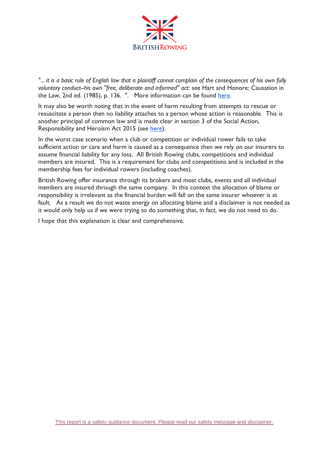

"... it is a basic rule of English law that a plaintiff cannot complain of the consequences of his own fully *voluntary conduct--his own "free, deliberate and informed" act:* see Hart and Honore: Causation in the Law, 2nd ed. (1985), p. 136. ". More information can be found [here.](https://publications.parliament.uk/pa/ld199899/ldjudgmt/jd990715/reeves01.htm)

It may also be worth noting that in the event of harm resulting from attempts to rescue or resuscitate a person then no liability attaches to a person whose action is reasonable. This is another principal of common law and is made clear in section 3 of the Social Action, Responsibility and Heroism Act 2015 (see [here\)](http://www.legislation.gov.uk/ukpga/2015/3/section/3/enacted).

In the worst case scenario when a club or competition or individual rower fails to take sufficient action or care and harm is caused as a consequence then we rely on our insurers to assume financial liability for any loss. All British Rowing clubs, competitions and individual members are insured. This is a requirement for clubs and competitions and is included in the membership fees for individual rowers (including coaches).

British Rowing offer insurance through its brokers and most clubs, events and all individual members are insured through the same company. In this context the allocation of blame or responsibility is irrelevant as the financial burden will fall on the same insurer whoever is at fault. As a result we do not waste energy on allocating blame and a disclaimer is not needed as it would only help us if we were trying to do something that, in fact, we do not need to do.

I hope that this explanation is clear and comprehensive.